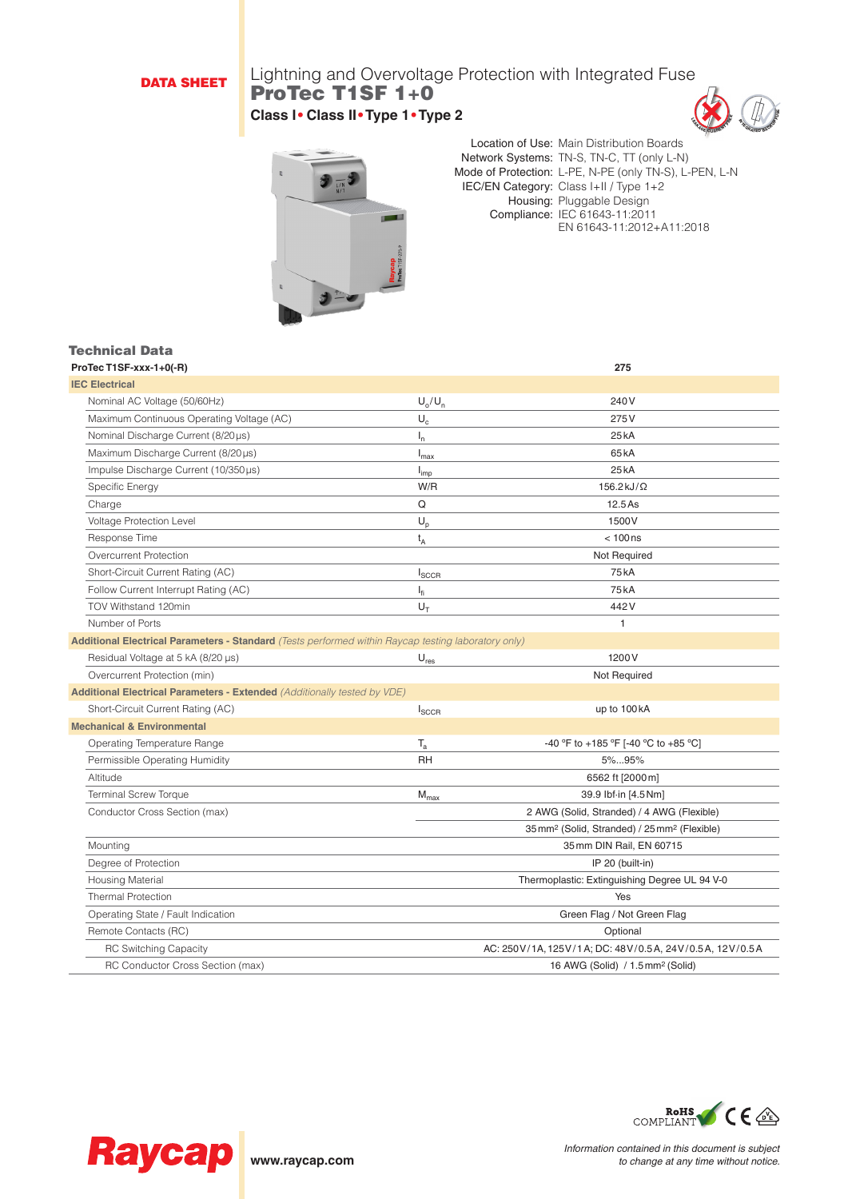# DATA SHEET

# Lightning and Overvoltage Protection with Integrated Fuse ProTec T1SF 1+0 **Class I• Class II•Type 1•Type 2**





Location of Use: Main Distribution Boards Network Systems: TN-S, TN-C, TT (only L-N) Mode of Protection: L-PE, N-PE (only TN-S), L-PEN, L-N IEC/EN Category: Class I+II / Type 1+2 Housing: Pluggable Design Compliance: IEC 61643-11:2011 EN 61643-11:2012+A11:2018

# Technical Data<br>ProTecT1SE-xxx-1.0(-P)

| ProTec T1SF-xxx-1+0(-R)                                                                                    |                             | 275                                                                  |
|------------------------------------------------------------------------------------------------------------|-----------------------------|----------------------------------------------------------------------|
| <b>IEC Electrical</b>                                                                                      |                             |                                                                      |
| Nominal AC Voltage (50/60Hz)                                                                               | $U_0/U_n$                   | 240 V                                                                |
| Maximum Continuous Operating Voltage (AC)                                                                  | $\mathsf{U}_{\rm c}$        | 275V                                                                 |
| Nominal Discharge Current (8/20 µs)                                                                        | $I_n$                       | 25 <sub>k</sub> A                                                    |
| Maximum Discharge Current (8/20µs)                                                                         | $I_{\text{max}}$            | 65 <sub>k</sub> A                                                    |
| Impulse Discharge Current (10/350µs)                                                                       | $I_{imp}$                   | 25 <sub>kA</sub>                                                     |
| Specific Energy                                                                                            | W/R                         | $156.2$ kJ/ $\Omega$                                                 |
| Charge                                                                                                     | Q                           | 12.5 As                                                              |
| Voltage Protection Level                                                                                   | $U_p$                       | 1500V                                                                |
| Response Time                                                                                              | $t_A$                       | $< 100$ ns                                                           |
| Overcurrent Protection                                                                                     |                             | Not Required                                                         |
| Short-Circuit Current Rating (AC)                                                                          | $I_{SCCR}$                  | 75 <sub>k</sub> A                                                    |
| Follow Current Interrupt Rating (AC)                                                                       | $I_{fi}$                    | <b>75kA</b>                                                          |
| TOV Withstand 120min                                                                                       | $U_{\tau}$                  | 442V                                                                 |
| Number of Ports                                                                                            |                             | 1                                                                    |
| <b>Additional Electrical Parameters - Standard</b> (Tests performed within Raycap testing laboratory only) |                             |                                                                      |
| Residual Voltage at 5 kA (8/20 µs)                                                                         | $\mathsf{U}_{\mathsf{res}}$ | 1200V                                                                |
| Overcurrent Protection (min)                                                                               |                             | Not Required                                                         |
| Additional Electrical Parameters - Extended (Additionally tested by VDE)                                   |                             |                                                                      |
| Short-Circuit Current Rating (AC)                                                                          | $I_{SCCR}$                  | up to 100 kA                                                         |
| <b>Mechanical &amp; Environmental</b>                                                                      |                             |                                                                      |
| Operating Temperature Range                                                                                | $T_a$                       | -40 °F to +185 °F [-40 °C to +85 °C]                                 |
| Permissible Operating Humidity                                                                             | <b>RH</b>                   | 5%95%                                                                |
| Altitude                                                                                                   |                             | 6562 ft [2000m]                                                      |
| <b>Terminal Screw Torque</b>                                                                               | $M_{\text{max}}$            | 39.9 lbf-in [4.5 Nm]                                                 |
| Conductor Cross Section (max)                                                                              |                             | 2 AWG (Solid, Stranded) / 4 AWG (Flexible)                           |
|                                                                                                            |                             | 35 mm <sup>2</sup> (Solid, Stranded) / 25 mm <sup>2</sup> (Flexible) |
| Mounting                                                                                                   |                             | 35 mm DIN Rail, EN 60715                                             |
| Degree of Protection                                                                                       |                             | IP 20 (built-in)                                                     |
| Housing Material                                                                                           |                             | Thermoplastic: Extinguishing Degree UL 94 V-0                        |
| <b>Thermal Protection</b>                                                                                  |                             | Yes                                                                  |
| Operating State / Fault Indication                                                                         |                             | Green Flag / Not Green Flag                                          |
| Remote Contacts (RC)                                                                                       |                             | Optional                                                             |
| <b>RC Switching Capacity</b>                                                                               |                             | AC: 250V/1A, 125V/1A; DC: 48V/0.5A, 24V/0.5A, 12V/0.5A               |
| RC Conductor Cross Section (max)                                                                           |                             | 16 AWG (Solid) / 1.5 mm <sup>2</sup> (Solid)                         |
|                                                                                                            |                             |                                                                      |